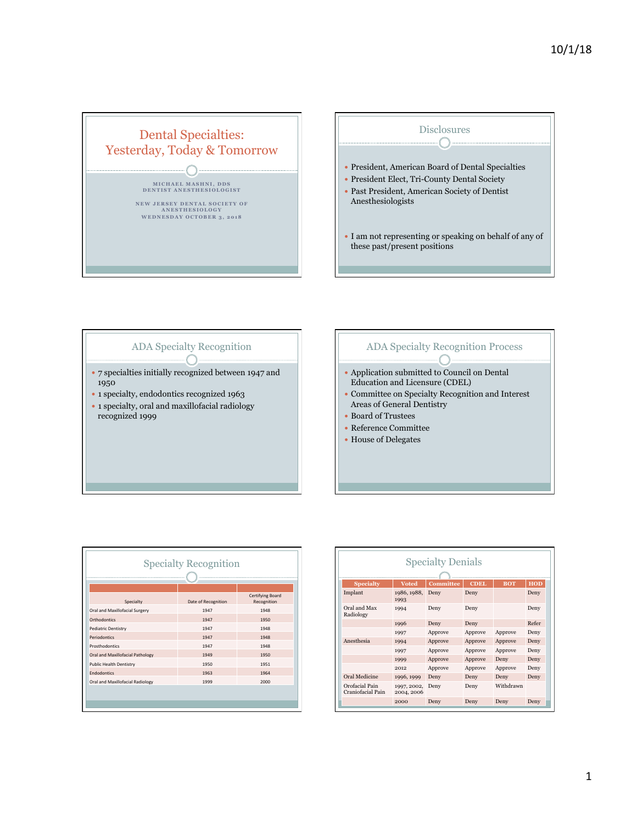

## ADA Specialty Recognition  $\subset$

- 7 specialties initially recognized between 1947 and 1950
- 1 specialty, endodontics recognized 1963
- 1 specialty, oral and maxillofacial radiology recognized 1999

## ADA Specialty Recognition Process  $\subset$

- Application submitted to Council on Dental Education and Licensure (CDEL)
- Committee on Specialty Recognition and Interest Areas of General Dentistry
- Board of Trustees
- Reference Committee
- House of Delegates

| Specialty                        | Date of Recognition | Certifying Board<br>Recognition |  |  |  |  |
|----------------------------------|---------------------|---------------------------------|--|--|--|--|
| Oral and Maxillofacial Surgery   | 1947                | 1948                            |  |  |  |  |
| Orthodontics                     | 1947                | 1950                            |  |  |  |  |
| <b>Pediatric Dentistry</b>       | 1947                | 1948                            |  |  |  |  |
| Periodontics                     | 1947                | 1948                            |  |  |  |  |
| Prosthodontics                   | 1947                | 1948                            |  |  |  |  |
| Oral and Maxillofacial Pathology | 1949                | 1950                            |  |  |  |  |
| <b>Public Health Dentistry</b>   | 1950                | 1951                            |  |  |  |  |
| <b>Endodontics</b>               | 1963                | 1964                            |  |  |  |  |
| Oral and Maxillofacial Radiology | 1999                | 2000                            |  |  |  |  |

| <b>Specialty Denials</b>            |                           |         |         |           |       |  |  |
|-------------------------------------|---------------------------|---------|---------|-----------|-------|--|--|
|                                     |                           |         |         |           |       |  |  |
| Implant                             | 1986, 1988,<br>1993       | Deny    | Deny    |           | Deny  |  |  |
| Oral and Max<br>Radiology           | 1994                      | Deny    | Deny    |           | Deny  |  |  |
|                                     | 1996                      | Deny    | Deny    |           | Refer |  |  |
|                                     | 1997                      | Approve | Approve | Approve   | Deny  |  |  |
| Anesthesia                          | 1994                      | Approve | Approve | Approve   | Deny  |  |  |
|                                     | 1997                      | Approve | Approve | Approve   | Deny  |  |  |
|                                     | 1999                      | Approve | Approve | Deny      | Deny  |  |  |
|                                     | 2012                      | Approve | Approve | Approve   | Deny  |  |  |
| Oral Medicine                       | 1996, 1999                | Deny    | Deny    | Deny      | Deny  |  |  |
| Orofacial Pain<br>Craniofacial Pain | 1997, 2002,<br>2004, 2006 | Deny    | Deny    | Withdrawn |       |  |  |
|                                     | 2000                      | Deny    | Deny    | Deny      | Deny  |  |  |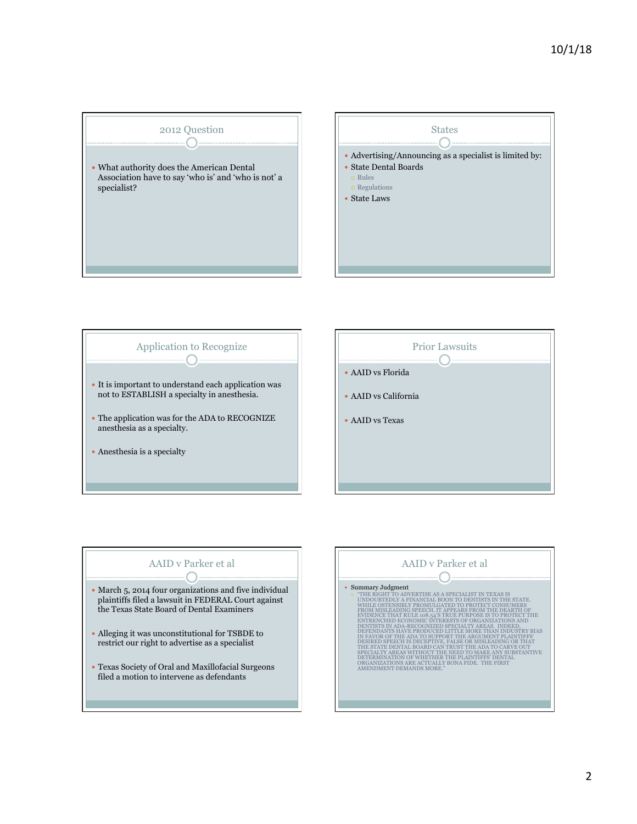







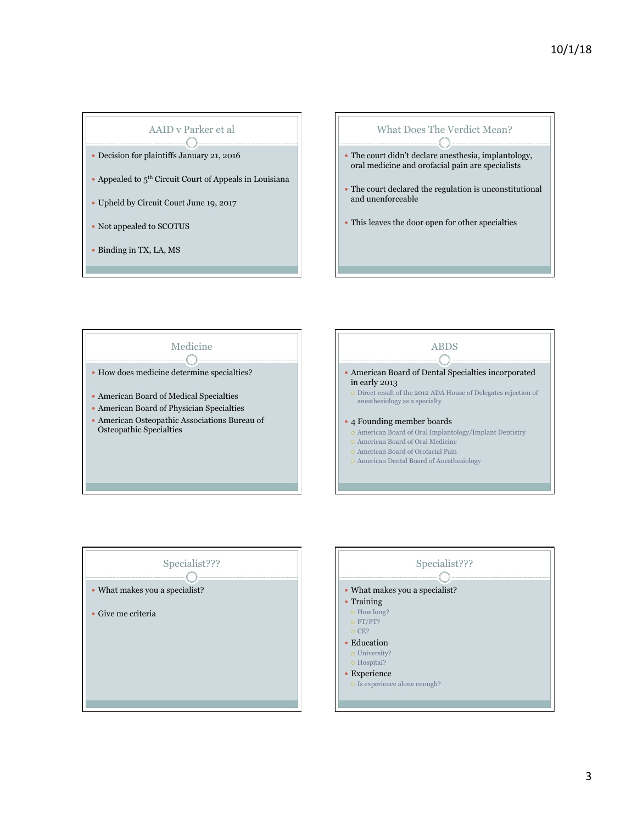## AAID v Parker et al  $\bigcirc$   $-$

- Decision for plaintiffs January 21, 2016
- Appealed to  $5<sup>th</sup>$  Circuit Court of Appeals in Louisiana
- Upheld by Circuit Court June 19, 2017
- Not appealed to SCOTUS
- Binding in TX, LA, MS

## What Does The Verdict Mean?  $-\bigcap$  The court didn't declare anesthesia, implantology, oral medicine and orofacial pain are specialists The court declared the regulation is unconstitutional and unenforceable

This leaves the door open for other specialties





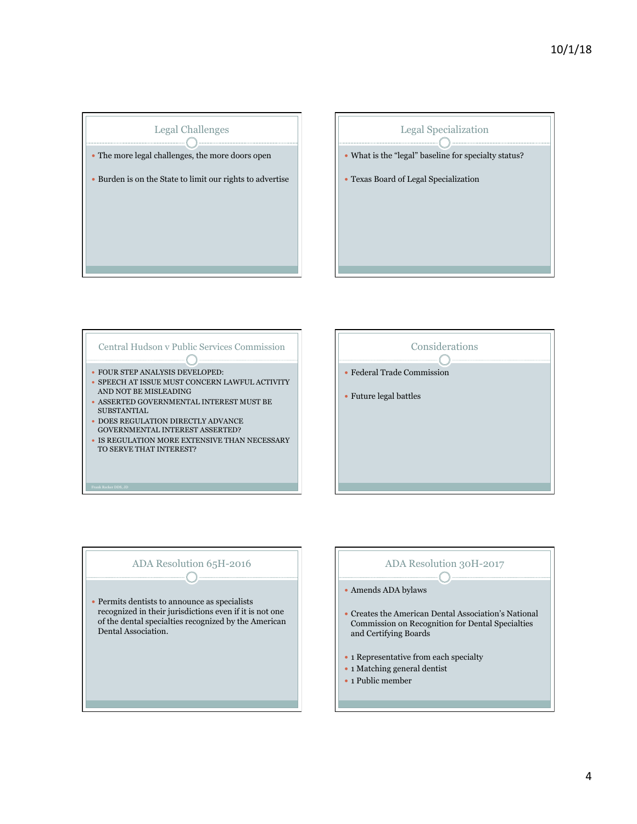









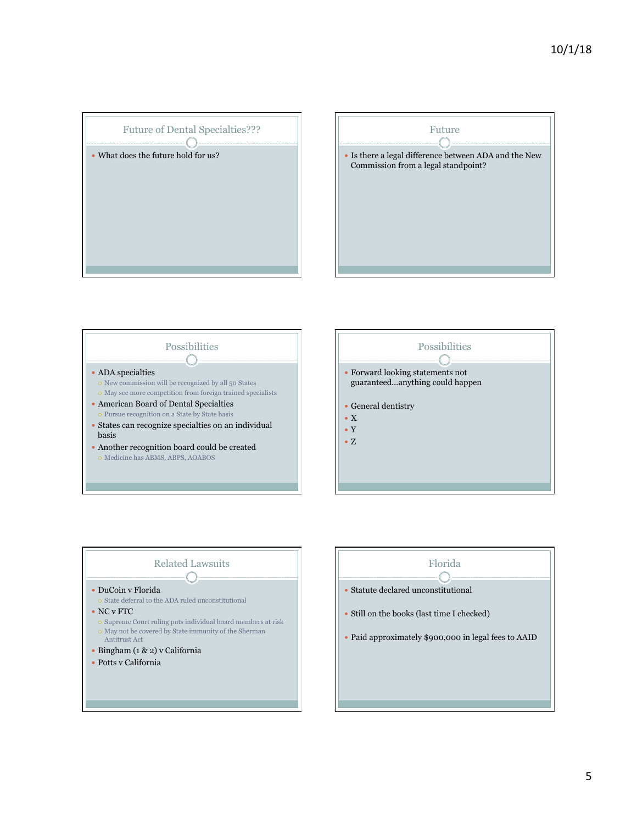







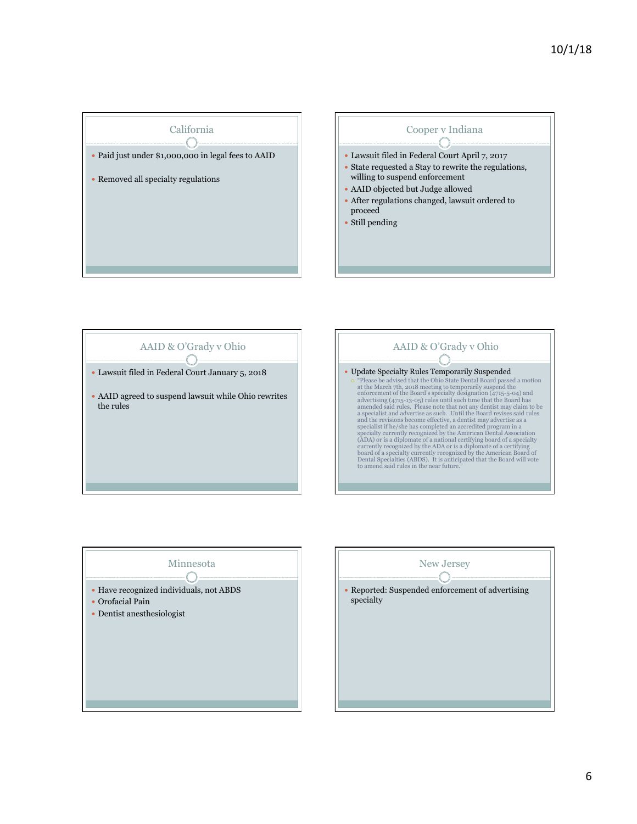